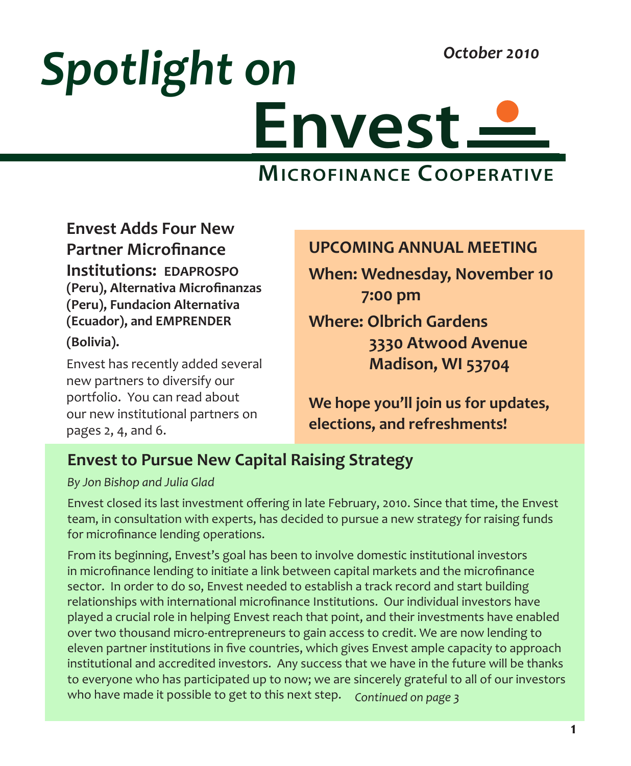# **Envest** *Spotlight on October 2010*

# **MICROFINANCE COOPERATIVE**

**Envest Adds Four New Partner Microfinance Institutions: EDAPROSPO (Peru), Alternativa Microfinanzas (Peru), Fundacion Alternativa (Ecuador), and EMPRENDER (Bolivia).**

Envest has recently added several new partners to diversify our portfolio. You can read about our new institutional partners on pages 2, 4, and 6.

#### **UPCOMING ANNUAL MEETING**

**When: Wednesday, November 10 7:00 pm**

**Where: Olbrich Gardens 3330 Atwood Avenue Madison, WI 53704**

**We hope you'll join us for updates, elections, and refreshments!**

### **Envest to Pursue New Capital Raising Strategy**

*By Jon Bishop and Julia Glad*

Envest closed its last investment offering in late February, 2010. Since that time, the Envest team, in consultation with experts, has decided to pursue a new strategy for raising funds for microfinance lending operations.

From its beginning, Envest's goal has been to involve domestic institutional investors in microfinance lending to initiate a link between capital markets and the microfinance sector. In order to do so, Envest needed to establish a track record and start building relationships with international microfinance Institutions. Our individual investors have played a crucial role in helping Envest reach that point, and their investments have enabled over two thousand micro-entrepreneurs to gain access to credit. We are now lending to eleven partner institutions in five countries, which gives Envest ample capacity to approach institutional and accredited investors. Any success that we have in the future will be thanks to everyone who has participated up to now; we are sincerely grateful to all of our investors who have made it possible to get to this next step. *Continued on page 3*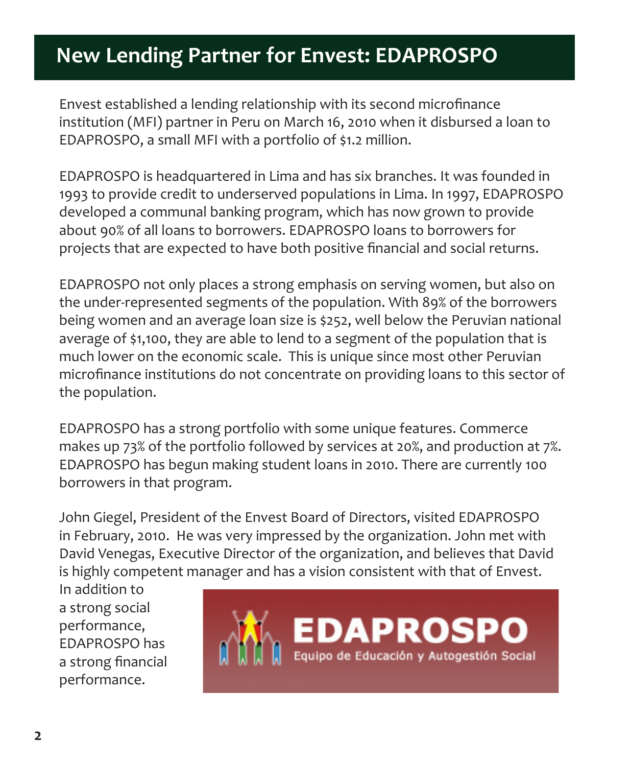# **New Lending Partner for Envest: EDAPROSPO**

Envest established a lending relationship with its second microfinance institution (MFI) partner in Peru on March 16, 2010 when it disbursed a loan to EDAPROSPO, a small MFI with a portfolio of \$1.2 million.

EDAPROSPO is headquartered in Lima and has six branches. It was founded in 1993 to provide credit to underserved populations in Lima. In 1997, EDAPROSPO developed a communal banking program, which has now grown to provide about 90% of all loans to borrowers. EDAPROSPO loans to borrowers for projects that are expected to have both positive financial and social returns.

EDAPROSPO not only places a strong emphasis on serving women, but also on the under-represented segments of the population. With 89% of the borrowers being women and an average loan size is \$252, well below the Peruvian national average of \$1,100, they are able to lend to a segment of the population that is much lower on the economic scale. This is unique since most other Peruvian microfinance institutions do not concentrate on providing loans to this sector of the population.

EDAPROSPO has a strong portfolio with some unique features. Commerce makes up 73% of the portfolio followed by services at 20%, and production at 7%. EDAPROSPO has begun making student loans in 2010. There are currently 100 borrowers in that program.

John Giegel, President of the Envest Board of Directors, visited EDAPROSPO in February, 2010. He was very impressed by the organization. John met with David Venegas, Executive Director of the organization, and believes that David is highly competent manager and has a vision consistent with that of Envest.

In addition to a strong social performance, EDAPROSPO has a strong financial performance.

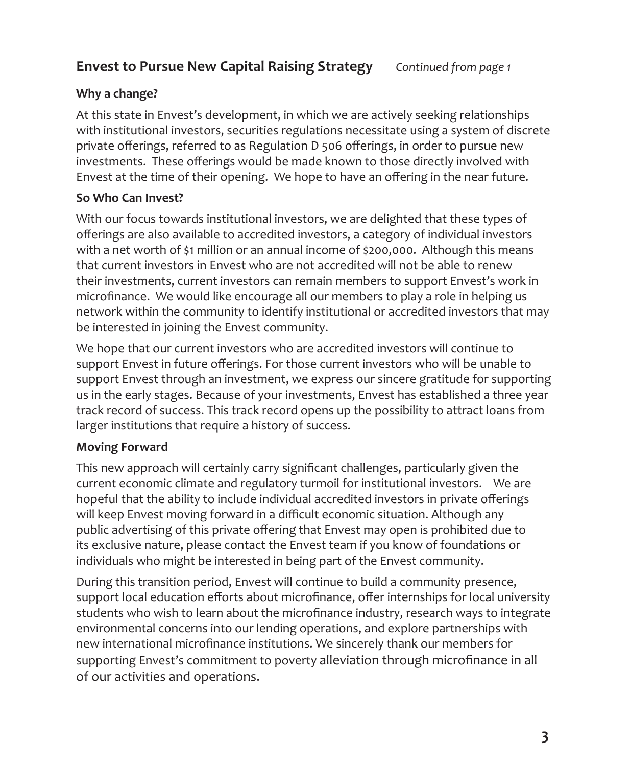#### **Envest to Pursue New Capital Raising Strategy** *Continued from page 1*

#### **Why a change?**

At this state in Envest's development, in which we are actively seeking relationships with institutional investors, securities regulations necessitate using a system of discrete private offerings, referred to as Regulation D 506 offerings, in order to pursue new investments. These offerings would be made known to those directly involved with Envest at the time of their opening. We hope to have an offering in the near future.

#### **So Who Can Invest?**

With our focus towards institutional investors, we are delighted that these types of offerings are also available to accredited investors, a category of individual investors with a net worth of \$1 million or an annual income of \$200,000. Although this means that current investors in Envest who are not accredited will not be able to renew their investments, current investors can remain members to support Envest's work in microfinance. We would like encourage all our members to play a role in helping us network within the community to identify institutional or accredited investors that may be interested in joining the Envest community.

We hope that our current investors who are accredited investors will continue to support Envest in future offerings. For those current investors who will be unable to support Envest through an investment, we express our sincere gratitude for supporting us in the early stages. Because of your investments, Envest has established a three year track record of success. This track record opens up the possibility to attract loans from larger institutions that require a history of success.

#### **Moving Forward**

This new approach will certainly carry significant challenges, particularly given the current economic climate and regulatory turmoil for institutional investors. We are hopeful that the ability to include individual accredited investors in private offerings will keep Envest moving forward in a difficult economic situation. Although any public advertising of this private offering that Envest may open is prohibited due to its exclusive nature, please contact the Envest team if you know of foundations or individuals who might be interested in being part of the Envest community.

During this transition period, Envest will continue to build a community presence, support local education efforts about microfinance, offer internships for local university students who wish to learn about the microfinance industry, research ways to integrate environmental concerns into our lending operations, and explore partnerships with new international microfinance institutions. We sincerely thank our members for supporting Envest's commitment to poverty alleviation through microfinance in all of our activities and operations.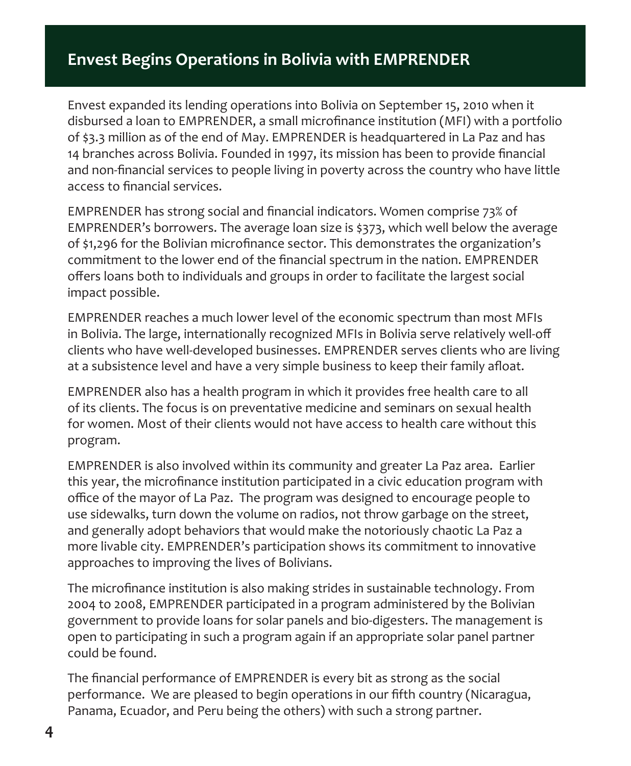### **Envest Begins Operations in Bolivia with EMPRENDER**

Envest expanded its lending operations into Bolivia on September 15, 2010 when it disbursed a loan to EMPRENDER, a small microfinance institution (MFI) with a portfolio of \$3.3 million as of the end of May. EMPRENDER is headquartered in La Paz and has 14 branches across Bolivia. Founded in 1997, its mission has been to provide financial and non-financial services to people living in poverty across the country who have little access to financial services.

EMPRENDER has strong social and financial indicators. Women comprise 73% of EMPRENDER's borrowers. The average loan size is \$373, which well below the average of \$1,296 for the Bolivian microfinance sector. This demonstrates the organization's commitment to the lower end of the financial spectrum in the nation. EMPRENDER offers loans both to individuals and groups in order to facilitate the largest social impact possible.

EMPRENDER reaches a much lower level of the economic spectrum than most MFIs in Bolivia. The large, internationally recognized MFIs in Bolivia serve relatively well-off clients who have well-developed businesses. EMPRENDER serves clients who are living at a subsistence level and have a very simple business to keep their family afloat.

EMPRENDER also has a health program in which it provides free health care to all of its clients. The focus is on preventative medicine and seminars on sexual health for women. Most of their clients would not have access to health care without this program.

EMPRENDER is also involved within its community and greater La Paz area. Earlier this year, the microfinance institution participated in a civic education program with office of the mayor of La Paz. The program was designed to encourage people to use sidewalks, turn down the volume on radios, not throw garbage on the street, and generally adopt behaviors that would make the notoriously chaotic La Paz a more livable city. EMPRENDER's participation shows its commitment to innovative approaches to improving the lives of Bolivians.

The microfinance institution is also making strides in sustainable technology. From 2004 to 2008, EMPRENDER participated in a program administered by the Bolivian government to provide loans for solar panels and bio-digesters. The management is open to participating in such a program again if an appropriate solar panel partner could be found.

The financial performance of EMPRENDER is every bit as strong as the social performance. We are pleased to begin operations in our fifth country (Nicaragua, Panama, Ecuador, and Peru being the others) with such a strong partner.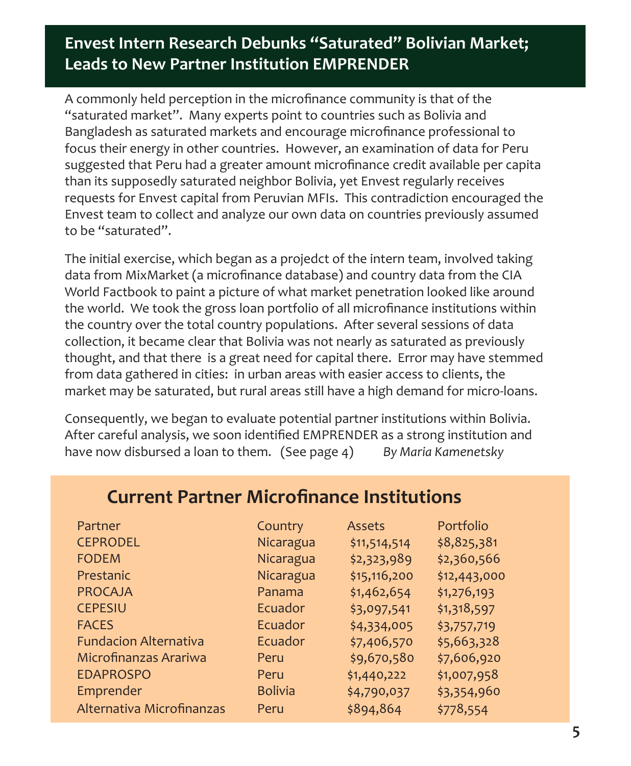### **Envest Intern Research Debunks "Saturated" Bolivian Market; Leads to New Partner Institution EMPRENDER**

A commonly held perception in the microfinance community is that of the "saturated market". Many experts point to countries such as Bolivia and Bangladesh as saturated markets and encourage microfinance professional to focus their energy in other countries. However, an examination of data for Peru suggested that Peru had a greater amount microfinance credit available per capita than its supposedly saturated neighbor Bolivia, yet Envest regularly receives requests for Envest capital from Peruvian MFIs. This contradiction encouraged the Envest team to collect and analyze our own data on countries previously assumed to be "saturated".

The initial exercise, which began as a projedct of the intern team, involved taking data from MixMarket (a microfinance database) and country data from the CIA World Factbook to paint a picture of what market penetration looked like around the world. We took the gross loan portfolio of all microfinance institutions within the country over the total country populations. After several sessions of data collection, it became clear that Bolivia was not nearly as saturated as previously thought, and that there is a great need for capital there. Error may have stemmed from data gathered in cities: in urban areas with easier access to clients, the market may be saturated, but rural areas still have a high demand for micro-loans.

Consequently, we began to evaluate potential partner institutions within Bolivia. After careful analysis, we soon identified EMPRENDER as a strong institution and have now disbursed a loan to them. (See page 4) *By Maria Kamenetsky*

| Partner                      | Country        | Assets       | Portfolio    |
|------------------------------|----------------|--------------|--------------|
| <b>CEPRODEL</b>              | Nicaragua      | \$11,514,514 | \$8,825,381  |
| <b>FODEM</b>                 | Nicaragua      | \$2,323,989  | \$2,360,566  |
| Prestanic                    | Nicaragua      | \$15,116,200 | \$12,443,000 |
| <b>PROCAJA</b>               | Panama         | \$1,462,654  | \$1,276,193  |
| <b>CEPESIU</b>               | Ecuador        | \$3,097,541  | \$1,318,597  |
| <b>FACES</b>                 | Ecuador        | \$4,334,005  | \$3,757,719  |
| <b>Fundacion Alternativa</b> | Ecuador        | \$7,406,570  | \$5,663,328  |
| Microfinanzas Arariwa        | Peru           | \$9,670,580  | \$7,606,920  |
| <b>EDAPROSPO</b>             | Peru           | \$1,440,222  | \$1,007,958  |
| Emprender                    | <b>Bolivia</b> | \$4,790,037  | \$3,354,960  |
| Alternativa Microfinanzas    | Peru           | \$894,864    | \$778,554    |

### **Current Partner Microfinance Institutions**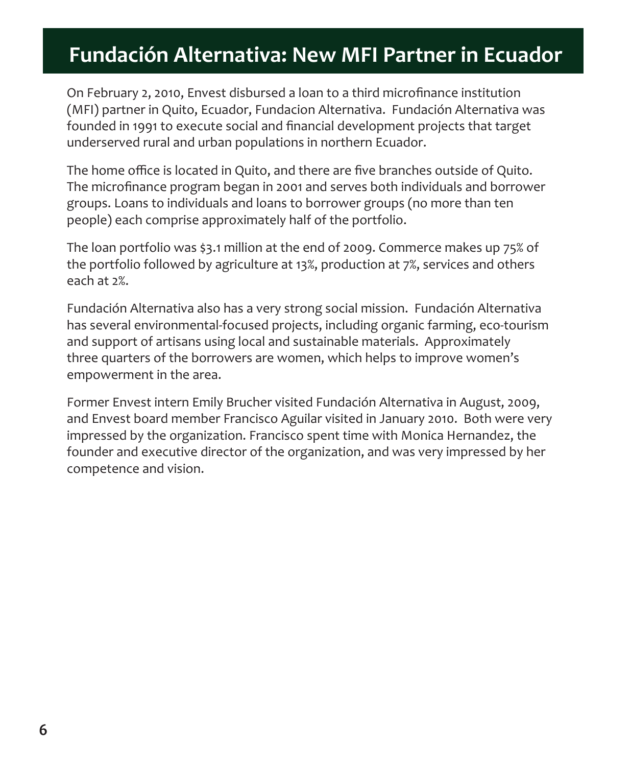# **Fundación Alternativa: New MFI Partner in Ecuador**

On February 2, 2010, Envest disbursed a loan to a third microfinance institution (MFI) partner in Quito, Ecuador, Fundacion Alternativa. Fundación Alternativa was founded in 1991 to execute social and financial development projects that target underserved rural and urban populations in northern Ecuador.

The home office is located in Quito, and there are five branches outside of Quito. The microfinance program began in 2001 and serves both individuals and borrower groups. Loans to individuals and loans to borrower groups (no more than ten people) each comprise approximately half of the portfolio.

The loan portfolio was \$3.1 million at the end of 2009. Commerce makes up 75% of the portfolio followed by agriculture at 13%, production at 7%, services and others each at 2%.

Fundación Alternativa also has a very strong social mission. Fundación Alternativa has several environmental-focused projects, including organic farming, eco-tourism and support of artisans using local and sustainable materials. Approximately three quarters of the borrowers are women, which helps to improve women's empowerment in the area.

Former Envest intern Emily Brucher visited Fundación Alternativa in August, 2009, and Envest board member Francisco Aguilar visited in January 2010. Both were very impressed by the organization. Francisco spent time with Monica Hernandez, the founder and executive director of the organization, and was very impressed by her competence and vision.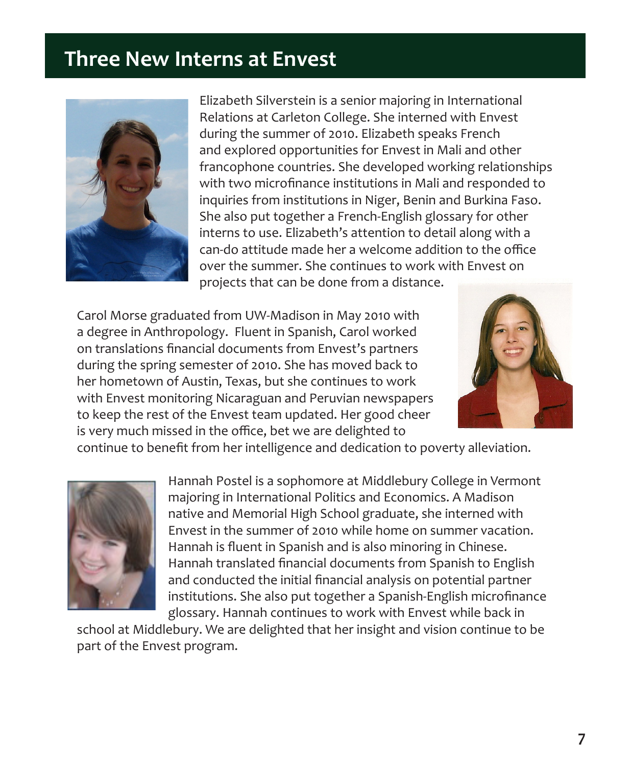### **Three New Interns at Envest**



Elizabeth Silverstein is a senior majoring in International Relations at Carleton College. She interned with Envest during the summer of 2010. Elizabeth speaks French and explored opportunities for Envest in Mali and other francophone countries. She developed working relationships with two microfinance institutions in Mali and responded to inquiries from institutions in Niger, Benin and Burkina Faso. She also put together a French-English glossary for other interns to use. Elizabeth's attention to detail along with a can-do attitude made her a welcome addition to the office over the summer. She continues to work with Envest on projects that can be done from a distance.

Carol Morse graduated from UW-Madison in May 2010 with a degree in Anthropology. Fluent in Spanish, Carol worked on translations financial documents from Envest's partners during the spring semester of 2010. She has moved back to her hometown of Austin, Texas, but she continues to work with Envest monitoring Nicaraguan and Peruvian newspapers to keep the rest of the Envest team updated. Her good cheer is very much missed in the office, bet we are delighted to



continue to benefit from her intelligence and dedication to poverty alleviation.



Hannah Postel is a sophomore at Middlebury College in Vermont majoring in International Politics and Economics. A Madison native and Memorial High School graduate, she interned with Envest in the summer of 2010 while home on summer vacation. Hannah is fluent in Spanish and is also minoring in Chinese. Hannah translated financial documents from Spanish to English and conducted the initial financial analysis on potential partner institutions. She also put together a Spanish-English microfinance glossary. Hannah continues to work with Envest while back in

school at Middlebury. We are delighted that her insight and vision continue to be part of the Envest program.